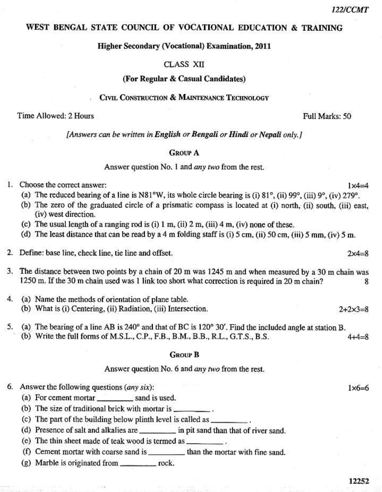$1x4=4$ 

 $2x4=8$ 

# WEST BENGAL STATE COUNCIL OF VOCATIONAL EDUCATION & TRAINING

## **Higher Secondary (Vocational) Examination, 2011**

### **CLASS XII**

#### (For Regular & Casual Candidates)

#### CIVIL CONSTRUCTION & MAINTENANCE TECHNOLOGY

# Time Allowed: 2 Hours

Full Marks: 50

[Answers can be written in English or Bengali or Hindi or Nepali only.]

#### **GROUP A**

## Answer question No. 1 and *any two* from the rest.

#### 1. Choose the correct answer:

- (a) The reduced bearing of a line is N81°W, its whole circle bearing is (i) 81°, (ii) 99°, (iii) 9°, (iv) 279°.
- (b) The zero of the graduated circle of a prismatic compass is located at (i) north, (ii) south, (iii) east, (iv) west direction.
- (c) The usual length of a ranging rod is (i)  $1 \text{ m}$ , (ii)  $2 \text{ m}$ , (iii)  $4 \text{ m}$ , (iv) none of these.
- (d) The least distance that can be read by a 4 m folding staff is (i) 5 cm, (ii) 50 cm, (iii) 5 mm, (iv) 5 m.
- 2. Define: base line, check line, tie line and offset.
- 3. The distance between two points by a chain of 20 m was 1245 m and when measured by a 30 m chain was 1250 m. If the 30 m chain used was 1 link too short what correction is required in 20 m chain? 8
- $4.$ (a) Name the methods of orientation of plane table. (b) What is (i) Centering, (ii) Radiation, (iii) Intersection.  $2 + 2 \times 3 = 8$
- (a) The bearing of a line AB is  $240^\circ$  and that of BC is 120° 30'. Find the included angle at station B. 5. (b) Write the full forms of M.S.L., C.P., F.B., B.M., B.B., R.L., G.T.S., B.S.  $4 + 4 - 8$

#### **GROUP B**

#### Answer question No. 6 and *any two* from the rest.

6. Answer the following questions  $(any six)$ :

- (a) For cement mortar \_\_\_\_\_\_\_\_\_\_\_ sand is used.
- (b) The size of traditional brick with mortar is \_\_\_\_\_\_\_\_\_.
- (c) The part of the building below plinth level is called as
- (d) Presence of salt and alkalies are \_\_\_\_\_\_\_\_\_\_\_ in pit sand than that of river sand.
- (e) The thin sheet made of teak wood is termed as \_
- (f) Cement mortar with coarse sand is \_\_\_\_\_\_\_\_\_\_ than the mortar with fine sand.
- (g) Marble is originated from \_\_\_\_\_\_\_\_\_\_\_\_ rock.

 $1\times6=6$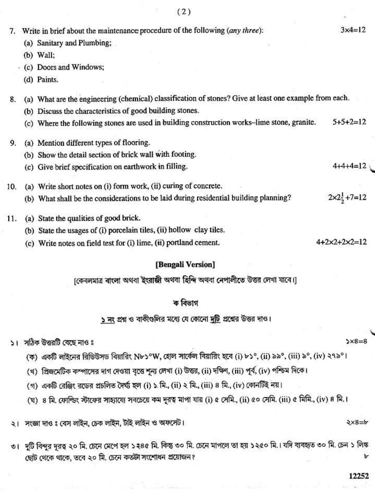|     |                                                                              | (2)                                                                                                    |                                  |
|-----|------------------------------------------------------------------------------|--------------------------------------------------------------------------------------------------------|----------------------------------|
| 7.  | Write in brief about the maintenance procedure of the following (any three): |                                                                                                        | $3x4=12$                         |
|     | (a)                                                                          | Sanitary and Plumbing;                                                                                 |                                  |
|     | (b)                                                                          | Wall;                                                                                                  |                                  |
|     | $\cdot$ (c)                                                                  | Doors and Windows;                                                                                     |                                  |
|     |                                                                              | (d) Paints.                                                                                            |                                  |
| 8.  |                                                                              | (a) What are the engineering (chemical) classification of stones? Give at least one example from each. |                                  |
|     |                                                                              | (b) Discuss the characteristics of good building stones.                                               |                                  |
|     |                                                                              | (c) Where the following stones are used in building construction works-lime stone, granite.            | $5+5+2=12$                       |
| 9.  |                                                                              | (a) Mention different types of flooring.                                                               |                                  |
|     |                                                                              | (b) Show the detail section of brick wall with footing.                                                |                                  |
|     |                                                                              | (c) Give brief specification on earthwork in filling.                                                  | $4+4+4=12$                       |
| 10. |                                                                              | (a) Write short notes on (i) form work, (ii) curing of concrete.                                       |                                  |
|     |                                                                              | (b) What shall be the considerations to be laid during residential building planning?                  | $2 \times 2\frac{1}{2} + 7 = 12$ |
| 11. |                                                                              | (a) State the qualities of good brick.                                                                 |                                  |
|     |                                                                              | (b) State the usages of (i) porcelain tiles, (ii) hollow clay tiles.                                   |                                  |
|     |                                                                              | (c) Write notes on field test for (i) lime, (ii) portland cement.                                      | $4+2\times2+2\times2=12$         |
|     |                                                                              | [Bengali Version]                                                                                      |                                  |
|     |                                                                              |                                                                                                        |                                  |

[কেবলমাত্র বাংলা অথবা ইংরাজী অথবা হিন্দি অথবা নেপালীতে উত্তর লেখা যাবে।]

# ক বিভাগ

<u>১ নং</u> প্রশ্ন ও বাকীগুলির মধ্যে যে কোনো দুটি প্রশ্নের উত্তর দাও।

১। সঠিক উত্তরটি বেছে নাওঃ

- $5x8=8$
- (ক) একটি লাইনের রিডিউসড বিয়ারিং N৮১°W, হোল সার্কেল বিয়ারিং হবে (i) ৮১°, (ii) ৯৯°, (iii) ৯°, (iv) ২৭৯°।
- (খ) প্রিজমেটিক কম্পাসের দাগ দেওয়া বৃত্তে শূন্য লেখা (i) উত্তর, (ii) দক্ষিণ, (iii) পূর্ব, (iv) পশ্চিম দিকে।
- (গ) একটি রেঞ্জিং রডের প্রচলিত দৈর্ঘ্য হল (i) ১.মি., (ii) ২ মি., (iii) ৪ মি., (iv) কোনটিই নয়।
- (ঘ) ৪ মি. ফোল্ডিং স্টাফের সাহ্যায্যে সবচেয়ে কম দূরত্ব মাপা যায় (i) ৫ সেমি., (ii) ৫০ সেমি. (iii) ৫ মিমি., (iv) ৪ মি.।

২। সংজ্ঞা দাওঃ বেস লাইন, চেক লাইন, টাই লাইন ও অফসেট।

৩। দুটি বিন্দুর দূরত্ব ২০ মি. চেনে মেপে হল ১২৪৫ মি. কিন্তু ৩০ মি. চেনে মাপলে তা হয় ১২৫০ মি.। যদি ব্যবহৃত ৩০ মি. চেন ১ লিঙ্ক ছোট থেকে থাকে, তবে ২০ মি. চেনে কতটা সংশোধন প্রয়োজন?

 $\ge x8 = b$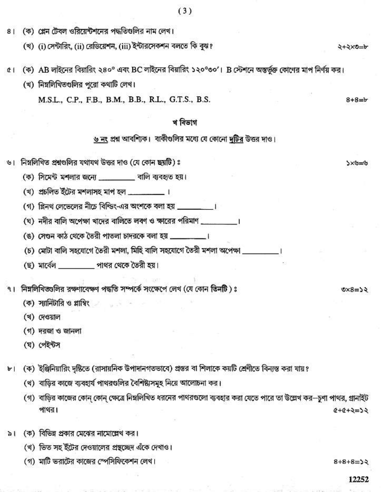- (ক) প্লেন টেবল ওরিয়েন্টশনের পদ্ধতিগুলির নাম লেখ।  $81$ 
	- (খ) (i) সেন্টারিং, (ii) রেডিয়েশন, (iii) ইন্টারসেকশন বলতে কি বুঝ?
- (ক) AB লাইনের বিয়ারিং ২৪০° এবং BC লাইনের বিয়ারিং ১২০°৩০'। B স্টেশনে অন্তর্ভুক্ত কোণের মাপ নির্ণয় কর।  $\alpha$ 
	- (খ) নিম্নলিথিতগুলির পুরো কথাটি লেখ।

M.S.L., C.P., F.B., B.M., B.B., R.L., G.T.S., B.S.

# খ বিভাগ

# <u>৬ নং</u> প্রশ্ন আবশ্যিক। বাকীগুলির মধ্যে যে কোনো দুটির উত্তর দাও।

- ৬। নিম্নলিখিত প্রশ্নগুলির যথাযথ উত্তর দাও (যে কোন ছয়টি) ঃ
	- (ক) সিমেন্ট মশলার জন্যে \_\_\_\_\_\_\_ বালি ব্যবহৃত হয়।
	- (খ) প্রচলিত ইটের মশলাসহ মাপ হল \_\_\_\_\_\_\_\_\_\_ ।
	- (গ) প্লিনথ লেভেলের নীচে বিশ্ডিং-এর অংশকে বলা হয় \_\_\_\_\_\_\_\_\_।
	- (ঘ) নদীর বালি অপেক্ষা খাদের বালিতে লবণ ও ক্ষারের পরিমাণ \_\_\_\_\_\_\_\_\_\_\_\_\_\_\_\_\_\_\_\_\_\_\_\_\_
	- (ঙ) সেণ্ডন কাঠ থেকে তৈরী পাতলা চাদরকে বলা হয় \_\_\_\_\_\_\_\_\_\_।
	- (চ) মোটা বালি সহযোগে তৈরী মশলা, মিহি বালি সহযোগে তৈরী মশলা অপেক্ষা
	- (ছ) মার্বেল সাথর থেকে তৈরী হয়।
- ৭। নিম্নলিখিতগুলির রক্ষণাবেক্ষণ পদ্ধতি সম্পর্কে সংক্ষেপে লেখ (যে কোন তিনটি)ঃ
	- (ক) স্যানিটারি ও প্লাম্বিং
	- (খ) দেওয়াল
	- (গ) দরজা ও জানলা
	- (ঘ) পেইন্টস
- (ক) ইঞ্জিনিয়ারিং দৃষ্টিতে (রাসায়নিক উপাদানগতভাবে) প্রস্তর বা শিলাকে কয়টি শ্রেণীতে বিন্যস্ত করা যায়?  $b$ <sup>-1</sup>
	- (খ) বাডির কাজে ব্যবহার্য পাথরগুলির বৈশিষ্ট্যসমূহ নিয়ে আলোচনা কর।
	- (গ) বাড়ির কাজের কোন কোন ক্ষেত্রে নিম্নলিখিত ধরনের পাথরগুলো ব্যবহার করা যেতে পারে তা উল্লেখ কর—চণা পাথর, গ্রানইট পাথর।  $6 + 6 + 9 = 52$
- (ক) বিভিন্ন প্রকার মেঝের নামোল্লেখ কর।  $\geq 1$ 
	- (খ) ভিত সহ ইটের দেওয়ালের প্রস্থচ্চেদ এঁকে দেখাও।
	- (গ) মাটি ভরাটের কাজের স্পেসিফিকেশন লেখ।

 $8+8+8=32$ 

 $8 + 8 = b$ 

ジニジ×く

マナマメのート

 $56 = 8 \times 2$